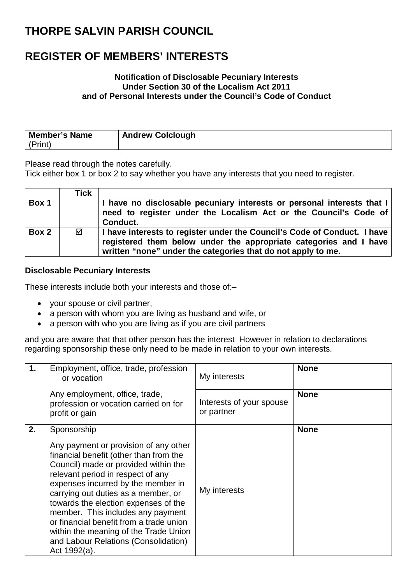### **REGISTER OF MEMBERS' INTERESTS**

#### **Notification of Disclosable Pecuniary Interests Under Section 30 of the Localism Act 2011 and of Personal Interests under the Council's Code of Conduct**

| Member's Name | <b>Andrew Colclough</b> |
|---------------|-------------------------|
| (Print)       |                         |

Please read through the notes carefully.

Tick either box 1 or box 2 to say whether you have any interests that you need to register.

|       | Tick |                                                                                                                                                                                                                 |
|-------|------|-----------------------------------------------------------------------------------------------------------------------------------------------------------------------------------------------------------------|
| Box 1 |      | I have no disclosable pecuniary interests or personal interests that I<br>need to register under the Localism Act or the Council's Code of<br>Conduct.                                                          |
| Box 2 | ☑    | I have interests to register under the Council's Code of Conduct. I have  <br>registered them below under the appropriate categories and I have<br>written "none" under the categories that do not apply to me. |

#### **Disclosable Pecuniary Interests**

These interests include both your interests and those of:–

- your spouse or civil partner,
- a person with whom you are living as husband and wife, or
- a person with who you are living as if you are civil partners

and you are aware that that other person has the interest However in relation to declarations regarding sponsorship these only need to be made in relation to your own interests.

| $\mathbf 1$ . | Employment, office, trade, profession<br>or vocation                                                                                                                                                                                                                                                                                                                                                                                                                              | My interests                           | <b>None</b> |
|---------------|-----------------------------------------------------------------------------------------------------------------------------------------------------------------------------------------------------------------------------------------------------------------------------------------------------------------------------------------------------------------------------------------------------------------------------------------------------------------------------------|----------------------------------------|-------------|
|               | Any employment, office, trade,<br>profession or vocation carried on for<br>profit or gain                                                                                                                                                                                                                                                                                                                                                                                         | Interests of your spouse<br>or partner | <b>None</b> |
| 2.            | Sponsorship<br>Any payment or provision of any other<br>financial benefit (other than from the<br>Council) made or provided within the<br>relevant period in respect of any<br>expenses incurred by the member in<br>carrying out duties as a member, or<br>towards the election expenses of the<br>member. This includes any payment<br>or financial benefit from a trade union<br>within the meaning of the Trade Union<br>and Labour Relations (Consolidation)<br>Act 1992(a). | My interests                           | <b>None</b> |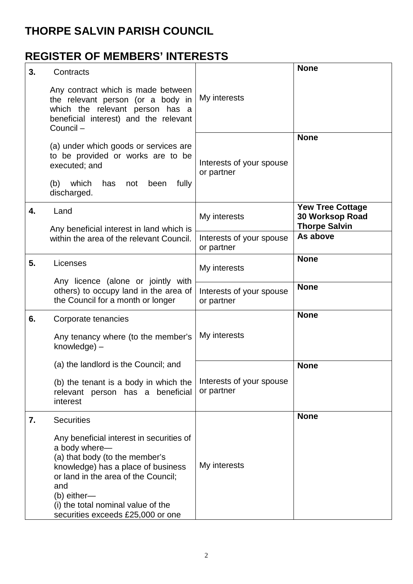## **REGISTER OF MEMBERS' INTERESTS**

| 3. | Contracts                                                                                                                                                                                                                                                                   |                                        | <b>None</b>                                                        |
|----|-----------------------------------------------------------------------------------------------------------------------------------------------------------------------------------------------------------------------------------------------------------------------------|----------------------------------------|--------------------------------------------------------------------|
|    | Any contract which is made between<br>the relevant person (or a body in<br>which the relevant person has a<br>beneficial interest) and the relevant<br>Council-                                                                                                             | My interests                           |                                                                    |
|    | (a) under which goods or services are<br>to be provided or works are to be<br>executed; and<br>(b) which<br>fully<br>has<br>been<br>not<br>discharged.                                                                                                                      | Interests of your spouse<br>or partner | <b>None</b>                                                        |
| 4. | Land<br>Any beneficial interest in land which is                                                                                                                                                                                                                            | My interests                           | <b>Yew Tree Cottage</b><br>30 Worksop Road<br><b>Thorpe Salvin</b> |
|    | within the area of the relevant Council.                                                                                                                                                                                                                                    | Interests of your spouse<br>or partner | As above                                                           |
| 5. | Licenses                                                                                                                                                                                                                                                                    | My interests                           | <b>None</b>                                                        |
|    | Any licence (alone or jointly with<br>others) to occupy land in the area of<br>the Council for a month or longer                                                                                                                                                            | Interests of your spouse<br>or partner | <b>None</b>                                                        |
| 6. | Corporate tenancies                                                                                                                                                                                                                                                         |                                        | <b>None</b>                                                        |
|    | Any tenancy where (to the member's<br>knowledge) -                                                                                                                                                                                                                          | My interests                           |                                                                    |
|    | (a) the landlord is the Council; and                                                                                                                                                                                                                                        |                                        | <b>None</b>                                                        |
|    | (b) the tenant is a body in which the<br>relevant person has a beneficial<br>interest                                                                                                                                                                                       | Interests of your spouse<br>or partner |                                                                    |
| 7. | <b>Securities</b>                                                                                                                                                                                                                                                           |                                        | <b>None</b>                                                        |
|    | Any beneficial interest in securities of<br>a body where-<br>(a) that body (to the member's<br>knowledge) has a place of business<br>or land in the area of the Council;<br>and<br>$(b)$ either-<br>(i) the total nominal value of the<br>securities exceeds £25,000 or one | My interests                           |                                                                    |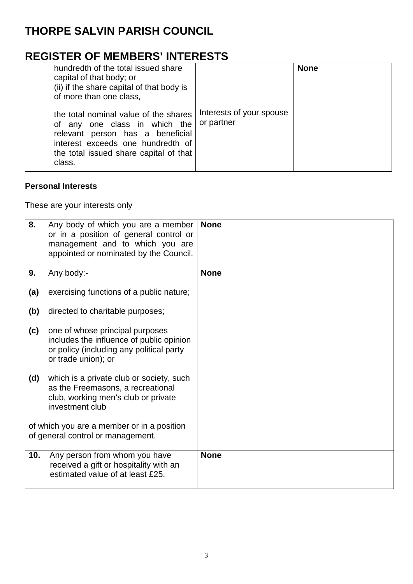### **REGISTER OF MEMBERS' INTERESTS**

| hundredth of the total issued share<br>capital of that body; or<br>(ii) if the share capital of that body is<br>of more than one class,                                                             |                                        | <b>None</b> |
|-----------------------------------------------------------------------------------------------------------------------------------------------------------------------------------------------------|----------------------------------------|-------------|
| the total nominal value of the shares<br>of any one class in which the<br>relevant person has a beneficial<br>interest exceeds one hundredth of<br>the total issued share capital of that<br>class. | Interests of your spouse<br>or partner |             |

#### **Personal Interests**

These are your interests only

| 8.  | Any body of which you are a member<br>or in a position of general control or<br>management and to which you are<br>appointed or nominated by the Council. | <b>None</b> |
|-----|-----------------------------------------------------------------------------------------------------------------------------------------------------------|-------------|
| 9.  | Any body:-                                                                                                                                                | <b>None</b> |
| (a) | exercising functions of a public nature;                                                                                                                  |             |
| (b) | directed to charitable purposes;                                                                                                                          |             |
| (c) | one of whose principal purposes<br>includes the influence of public opinion<br>or policy (including any political party<br>or trade union); or            |             |
| (d) | which is a private club or society, such<br>as the Freemasons, a recreational<br>club, working men's club or private<br>investment club                   |             |
|     | of which you are a member or in a position<br>of general control or management.                                                                           |             |
| 10. | Any person from whom you have<br>received a gift or hospitality with an<br>estimated value of at least £25.                                               | <b>None</b> |